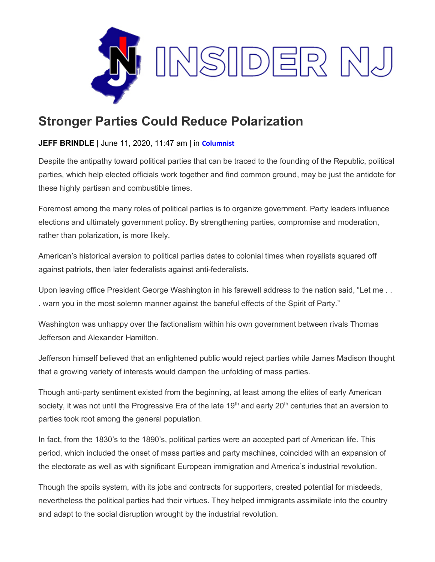

## **Stronger Parties Could Reduce Polarization**

## **JEFF BRINDLE** | June 11, 2020, 11:47 am | in **[Columnist](https://www.insidernj.com/category/columnist/)**

Despite the antipathy toward political parties that can be traced to the founding of the Republic, political parties, which help elected officials work together and find common ground, may be just the antidote for these highly partisan and combustible times.

Foremost among the many roles of political parties is to organize government. Party leaders influence elections and ultimately government policy. By strengthening parties, compromise and moderation, rather than polarization, is more likely.

American's historical aversion to political parties dates to colonial times when royalists squared off against patriots, then later federalists against anti-federalists.

Upon leaving office President George Washington in his farewell address to the nation said, "Let me . . . warn you in the most solemn manner against the baneful effects of the Spirit of Party."

Washington was unhappy over the factionalism within his own government between rivals Thomas Jefferson and Alexander Hamilton.

Jefferson himself believed that an enlightened public would reject parties while James Madison thought that a growing variety of interests would dampen the unfolding of mass parties.

Though anti-party sentiment existed from the beginning, at least among the elites of early American society, it was not until the Progressive Era of the late 19<sup>th</sup> and early 20<sup>th</sup> centuries that an aversion to parties took root among the general population.

In fact, from the 1830's to the 1890's, political parties were an accepted part of American life. This period, which included the onset of mass parties and party machines, coincided with an expansion of the electorate as well as with significant European immigration and America's industrial revolution.

Though the spoils system, with its jobs and contracts for supporters, created potential for misdeeds, nevertheless the political parties had their virtues. They helped immigrants assimilate into the country and adapt to the social disruption wrought by the industrial revolution.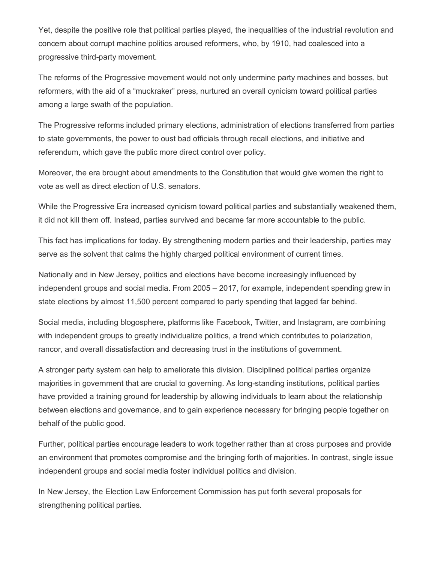Yet, despite the positive role that political parties played, the inequalities of the industrial revolution and concern about corrupt machine politics aroused reformers, who, by 1910, had coalesced into a progressive third-party movement.

The reforms of the Progressive movement would not only undermine party machines and bosses, but reformers, with the aid of a "muckraker" press, nurtured an overall cynicism toward political parties among a large swath of the population.

The Progressive reforms included primary elections, administration of elections transferred from parties to state governments, the power to oust bad officials through recall elections, and initiative and referendum, which gave the public more direct control over policy.

Moreover, the era brought about amendments to the Constitution that would give women the right to vote as well as direct election of U.S. senators.

While the Progressive Era increased cynicism toward political parties and substantially weakened them, it did not kill them off. Instead, parties survived and became far more accountable to the public.

This fact has implications for today. By strengthening modern parties and their leadership, parties may serve as the solvent that calms the highly charged political environment of current times.

Nationally and in New Jersey, politics and elections have become increasingly influenced by independent groups and social media. From 2005 – 2017, for example, independent spending grew in state elections by almost 11,500 percent compared to party spending that lagged far behind.

Social media, including blogosphere, platforms like Facebook, Twitter, and Instagram, are combining with independent groups to greatly individualize politics, a trend which contributes to polarization, rancor, and overall dissatisfaction and decreasing trust in the institutions of government.

A stronger party system can help to ameliorate this division. Disciplined political parties organize majorities in government that are crucial to governing. As long-standing institutions, political parties have provided a training ground for leadership by allowing individuals to learn about the relationship between elections and governance, and to gain experience necessary for bringing people together on behalf of the public good.

Further, political parties encourage leaders to work together rather than at cross purposes and provide an environment that promotes compromise and the bringing forth of majorities. In contrast, single issue independent groups and social media foster individual politics and division.

In New Jersey, the Election Law Enforcement Commission has put forth several proposals for strengthening political parties.